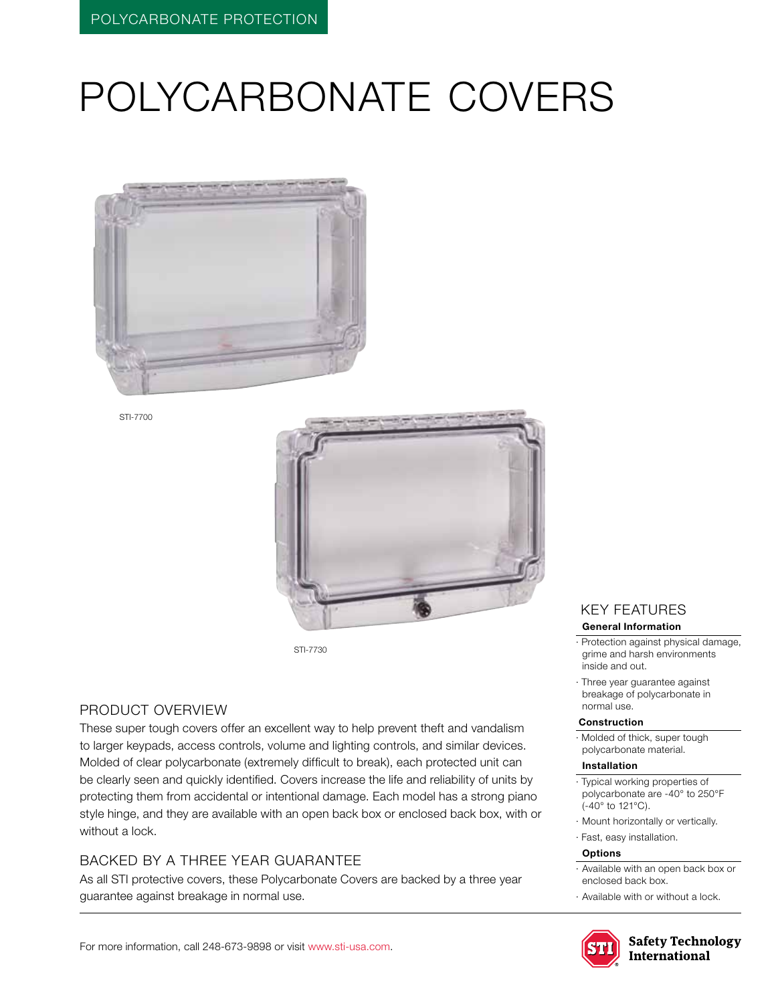# POLYCARBONATE COVERS



STI-7700



STI-7730

## Product Overview

These super tough covers offer an excellent way to help prevent theft and vandalism to larger keypads, access controls, volume and lighting controls, and similar devices. Molded of clear polycarbonate (extremely difficult to break), each protected unit can be clearly seen and quickly identified. Covers increase the life and reliability of units by protecting them from accidental or intentional damage. Each model has a strong piano style hinge, and they are available with an open back box or enclosed back box, with or without a lock.

## BACKED BY A THREE YEAR GUARANTEE

As all STI protective covers, these Polycarbonate Covers are backed by a three year guarantee against breakage in normal use.

#### KEY features **General Information**

- · Protection against physical damage, grime and harsh environments
- · Three year guarantee against breakage of polycarbonate in normal use.

#### **Construction**

inside and out.

· Molded of thick, super tough polycarbonate material.

#### **Installation**

- · Typical working properties of polycarbonate are -40° to 250°F (-40° to 121°C).
- · Mount horizontally or vertically.
- · Fast, easy installation.

#### **Options**

- · Available with an open back box or enclosed back box.
- · Available with or without a lock.